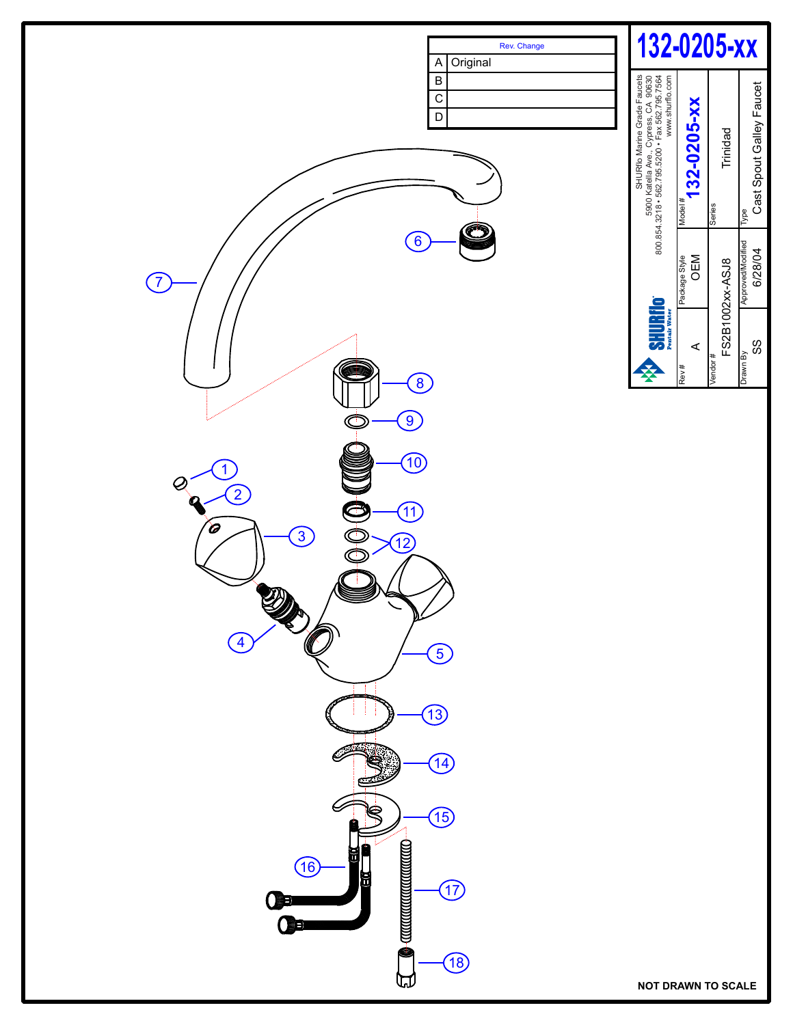